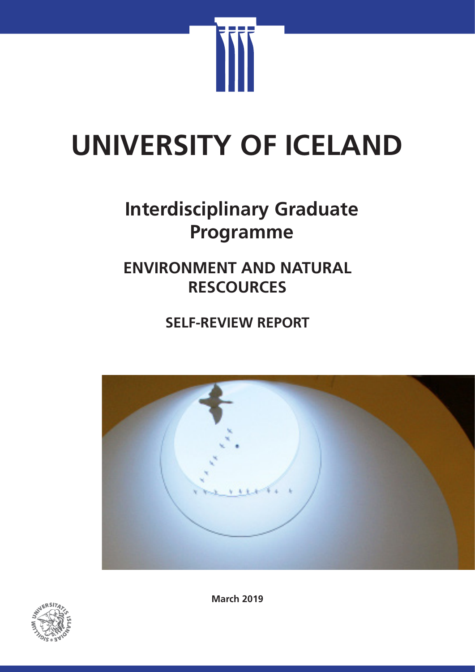

# **UNIVERSITY OF ICELAND**

# **Interdisciplinary Graduate Programme**

# **ENVIRONMENT AND NATURAL RESCOURCES**

**SELF-REVIEW REPORT**





**March 2019**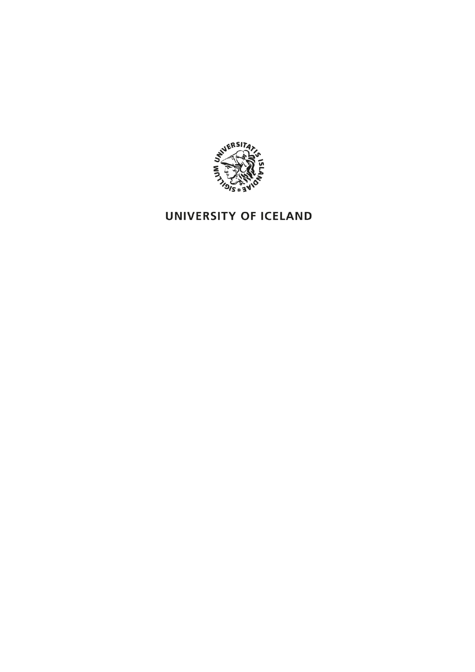

## UNIVERSITY OF ICELAND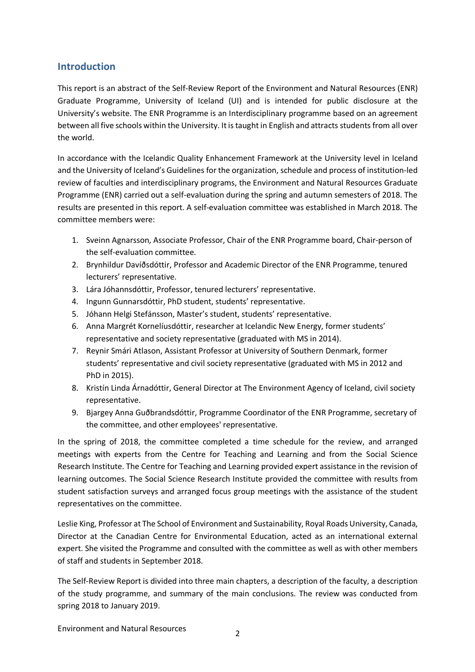#### **Introduction**

This report is an abstract of the Self-Review Report of the Environment and Natural Resources (ENR) Graduate Programme, University of Iceland (UI) and is intended for public disclosure at the University's website. The ENR Programme is an Interdisciplinary programme based on an agreement between all five schools within the University. It is taught in English and attracts students from all over the world.

In accordance with the Icelandic Quality Enhancement Framework at the University level in Iceland and the University of Iceland's Guidelines for the organization, schedule and process of institution-led review of faculties and interdisciplinary programs, the Environment and Natural Resources Graduate Programme (ENR) carried out a self-evaluation during the spring and autumn semesters of 2018. The results are presented in this report. A self-evaluation committee was established in March 2018. The committee members were:

- 1. Sveinn Agnarsson, Associate Professor, Chair of the ENR Programme board, Chair-person of the self-evaluation committee.
- 2. Brynhildur Davíðsdóttir, Professor and Academic Director of the ENR Programme, tenured lecturers' representative.
- 3. Lára Jóhannsdóttir, Professor, tenured lecturers' representative.
- 4. Ingunn Gunnarsdóttir, PhD student, students' representative.
- 5. Jóhann Helgi Stefánsson, Master's student, students' representative.
- 6. Anna Margrét Kornelíusdóttir, researcher at Icelandic New Energy, former students' representative and society representative (graduated with MS in 2014).
- 7. Reynir Smári Atlason, Assistant Professor at University of Southern Denmark, former students' representative and civil society representative (graduated with MS in 2012 and PhD in 2015).
- 8. Kristín Linda Árnadóttir, General Director at The Environment Agency of Iceland, civil society representative.
- 9. Bjargey Anna Guðbrandsdóttir, Programme Coordinator of the ENR Programme, secretary of the committee, and other employees' representative.

In the spring of 2018, the committee completed a time schedule for the review, and arranged meetings with experts from the Centre for Teaching and Learning and from the Social Science Research Institute. The Centre for Teaching and Learning provided expert assistance in the revision of learning outcomes. The Social Science Research Institute provided the committee with results from student satisfaction surveys and arranged focus group meetings with the assistance of the student representatives on the committee.

Leslie King, Professor at The School of Environment and Sustainability, Royal Roads University, Canada, Director at the Canadian Centre for Environmental Education, acted as an international external expert. She visited the Programme and consulted with the committee as well as with other members of staff and students in September 2018.

The Self-Review Report is divided into three main chapters, a description of the faculty, a description of the study programme, and summary of the main conclusions. The review was conducted from spring 2018 to January 2019.

Environment and Natural Resources <sup>2</sup>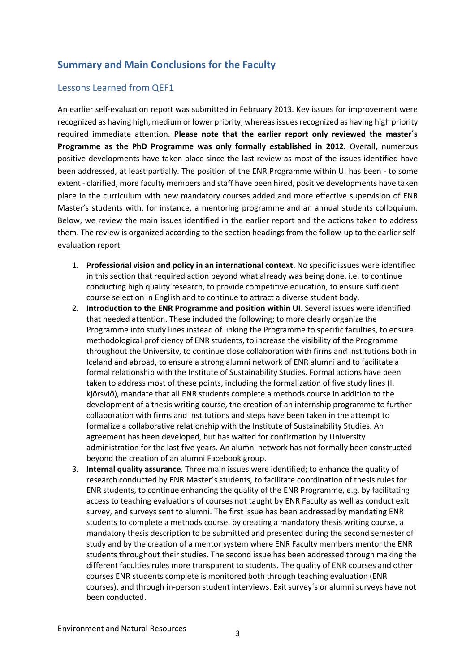#### **Summary and Main Conclusions for the Faculty**

#### Lessons Learned from QEF1

An earlier self-evaluation report was submitted in February 2013. Key issues for improvement were recognized as having high, medium or lower priority, whereas issues recognized as having high priority required immediate attention. **Please note that the earlier report only reviewed the master´s Programme as the PhD Programme was only formally established in 2012.** Overall, numerous positive developments have taken place since the last review as most of the issues identified have been addressed, at least partially. The position of the ENR Programme within UI has been - to some extent - clarified, more faculty members and staff have been hired, positive developments have taken place in the curriculum with new mandatory courses added and more effective supervision of ENR Master's students with, for instance, a mentoring programme and an annual students colloquium. Below, we review the main issues identified in the earlier report and the actions taken to address them. The review is organized according to the section headings from the follow-up to the earlier selfevaluation report.

- 1. **Professional vision and policy in an international context.** No specific issues were identified in this section that required action beyond what already was being done, i.e. to continue conducting high quality research, to provide competitive education, to ensure sufficient course selection in English and to continue to attract a diverse student body.
- 2. **Introduction to the ENR Programme and position within UI**. Several issues were identified that needed attention. These included the following; to more clearly organize the Programme into study lines instead of linking the Programme to specific faculties, to ensure methodological proficiency of ENR students, to increase the visibility of the Programme throughout the University, to continue close collaboration with firms and institutions both in Iceland and abroad, to ensure a strong alumni network of ENR alumni and to facilitate a formal relationship with the Institute of Sustainability Studies. Formal actions have been taken to address most of these points, including the formalization of five study lines (I. kjörsvið), mandate that all ENR students complete a methods course in addition to the development of a thesis writing course, the creation of an internship programme to further collaboration with firms and institutions and steps have been taken in the attempt to formalize a collaborative relationship with the Institute of Sustainability Studies. An agreement has been developed, but has waited for confirmation by University administration for the last five years. An alumni network has not formally been constructed beyond the creation of an alumni Facebook group.
- 3. **Internal quality assurance**. Three main issues were identified; to enhance the quality of research conducted by ENR Master's students, to facilitate coordination of thesis rules for ENR students, to continue enhancing the quality of the ENR Programme, e.g. by facilitating access to teaching evaluations of courses not taught by ENR Faculty as well as conduct exit survey, and surveys sent to alumni. The first issue has been addressed by mandating ENR students to complete a methods course, by creating a mandatory thesis writing course, a mandatory thesis description to be submitted and presented during the second semester of study and by the creation of a mentor system where ENR Faculty members mentor the ENR students throughout their studies. The second issue has been addressed through making the different faculties rules more transparent to students. The quality of ENR courses and other courses ENR students complete is monitored both through teaching evaluation (ENR courses), and through in-person student interviews. Exit survey´s or alumni surveys have not been conducted.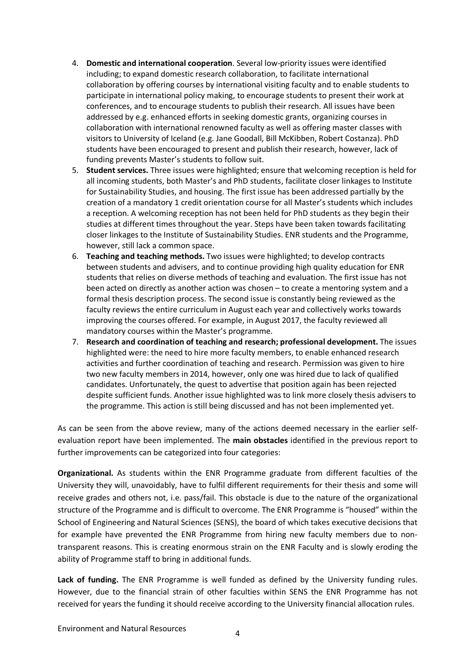- 4. **Domestic and international cooperation**. Several low-priority issues were identified including; to expand domestic research collaboration, to facilitate international collaboration by offering courses by international visiting faculty and to enable students to participate in international policy making, to encourage students to present their work at conferences, and to encourage students to publish their research. All issues have been addressed by e.g. enhanced efforts in seeking domestic grants, organizing courses in collaboration with international renowned faculty as well as offering master classes with visitors to University of Iceland (e.g. Jane Goodall, Bill McKibben, Robert Costanza). PhD students have been encouraged to present and publish their research, however, lack of funding prevents Master's students to follow suit.
- 5. **Student services.** Three issues were highlighted; ensure that welcoming reception is held for all incoming students, both Master's and PhD students, facilitate closer linkages to Institute for Sustainability Studies, and housing. The first issue has been addressed partially by the creation of a mandatory 1 credit orientation course for all Master's students which includes a reception. A welcoming reception has not been held for PhD students as they begin their studies at different times throughout the year. Steps have been taken towards facilitating closer linkages to the Institute of Sustainability Studies. ENR students and the Programme, however, still lack a common space.
- 6. **Teaching and teaching methods.** Two issues were highlighted; to develop contracts between students and advisers, and to continue providing high quality education for ENR students that relies on diverse methods of teaching and evaluation. The first issue has not been acted on directly as another action was chosen – to create a mentoring system and a formal thesis description process. The second issue is constantly being reviewed as the faculty reviews the entire curriculum in August each year and collectively works towards improving the courses offered. For example, in August 2017, the faculty reviewed all mandatory courses within the Master's programme.
- 7. **Research and coordination of teaching and research; professional development.** The issues highlighted were: the need to hire more faculty members, to enable enhanced research activities and further coordination of teaching and research. Permission was given to hire two new faculty members in 2014, however, only one was hired due to lack of qualified candidates. Unfortunately, the quest to advertise that position again has been rejected despite sufficient funds. Another issue highlighted was to link more closely thesis advisers to the programme. This action is still being discussed and has not been implemented yet.

As can be seen from the above review, many of the actions deemed necessary in the earlier selfevaluation report have been implemented. The **main obstacles** identified in the previous report to further improvements can be categorized into four categories:

**Organizational.** As students within the ENR Programme graduate from different faculties of the University they will, unavoidably, have to fulfil different requirements for their thesis and some will receive grades and others not, i.e. pass/fail. This obstacle is due to the nature of the organizational structure of the Programme and is difficult to overcome. The ENR Programme is "housed" within the School of Engineering and Natural Sciences (SENS), the board of which takes executive decisions that for example have prevented the ENR Programme from hiring new faculty members due to nontransparent reasons. This is creating enormous strain on the ENR Faculty and is slowly eroding the ability of Programme staff to bring in additional funds.

**Lack of funding.** The ENR Programme is well funded as defined by the University funding rules. However, due to the financial strain of other faculties within SENS the ENR Programme has not received for years the funding it should receive according to the University financial allocation rules.

Environment and Natural Resources <sup>4</sup>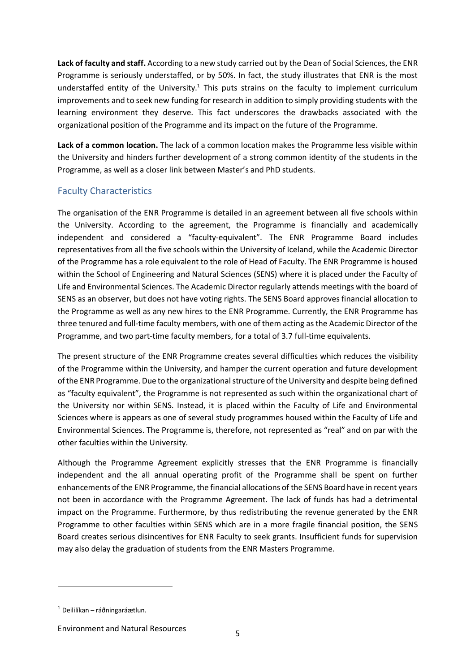**Lack of faculty and staff.** According to a new study carried out by the Dean of Social Sciences, the ENR Programme is seriously understaffed, or by 50%. In fact, the study illustrates that ENR is the most understaffed entity of the University.<sup>1</sup> This puts strains on the faculty to implement curriculum improvements and to seek new funding for research in addition to simply providing students with the learning environment they deserve. This fact underscores the drawbacks associated with the organizational position of the Programme and its impact on the future of the Programme.

**Lack of a common location.** The lack of a common location makes the Programme less visible within the University and hinders further development of a strong common identity of the students in the Programme, as well as a closer link between Master's and PhD students.

#### Faculty Characteristics

The organisation of the ENR Programme is detailed in an agreement between all five schools within the University. According to the agreement, the Programme is financially and academically independent and considered a "faculty-equivalent". The ENR Programme Board includes representatives from all the five schools within the University of Iceland, while the Academic Director of the Programme has a role equivalent to the role of Head of Faculty. The ENR Programme is housed within the School of Engineering and Natural Sciences (SENS) where it is placed under the Faculty of Life and Environmental Sciences. The Academic Director regularly attends meetings with the board of SENS as an observer, but does not have voting rights. The SENS Board approves financial allocation to the Programme as well as any new hires to the ENR Programme. Currently, the ENR Programme has three tenured and full-time faculty members, with one of them acting as the Academic Director of the Programme, and two part-time faculty members, for a total of 3.7 full-time equivalents.

The present structure of the ENR Programme creates several difficulties which reduces the visibility of the Programme within the University, and hamper the current operation and future development of the ENR Programme. Due to the organizational structure of the University and despite being defined as "faculty equivalent", the Programme is not represented as such within the organizational chart of the University nor within SENS. Instead, it is placed within the Faculty of Life and Environmental Sciences where is appears as one of several study programmes housed within the Faculty of Life and Environmental Sciences. The Programme is, therefore, not represented as "real" and on par with the other faculties within the University.

Although the Programme Agreement explicitly stresses that the ENR Programme is financially independent and the all annual operating profit of the Programme shall be spent on further enhancements of the ENR Programme, the financial allocations of the SENS Board have in recent years not been in accordance with the Programme Agreement. The lack of funds has had a detrimental impact on the Programme. Furthermore, by thus redistributing the revenue generated by the ENR Programme to other faculties within SENS which are in a more fragile financial position, the SENS Board creates serious disincentives for ENR Faculty to seek grants. Insufficient funds for supervision may also delay the graduation of students from the ENR Masters Programme.

 $\overline{a}$ 

 $1$  Deililíkan – ráðningaráætlun.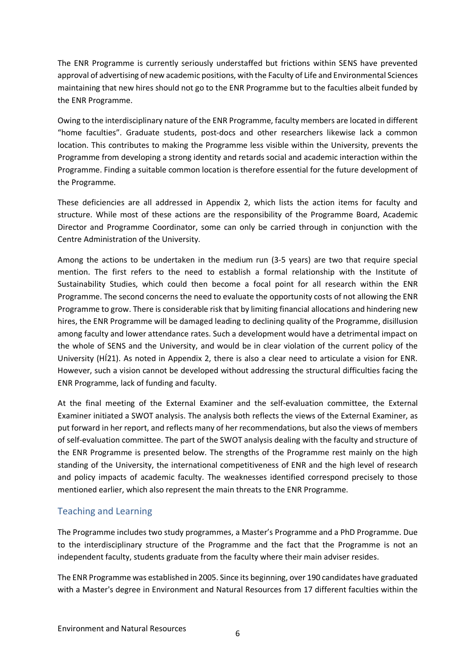The ENR Programme is currently seriously understaffed but frictions within SENS have prevented approval of advertising of new academic positions, with the Faculty of Life and Environmental Sciences maintaining that new hires should not go to the ENR Programme but to the faculties albeit funded by the ENR Programme.

Owing to the interdisciplinary nature of the ENR Programme, faculty members are located in different "home faculties". Graduate students, post-docs and other researchers likewise lack a common location. This contributes to making the Programme less visible within the University, prevents the Programme from developing a strong identity and retards social and academic interaction within the Programme. Finding a suitable common location is therefore essential for the future development of the Programme.

These deficiencies are all addressed in Appendix 2, which lists the action items for faculty and structure. While most of these actions are the responsibility of the Programme Board, Academic Director and Programme Coordinator, some can only be carried through in conjunction with the Centre Administration of the University.

Among the actions to be undertaken in the medium run (3-5 years) are two that require special mention. The first refers to the need to establish a formal relationship with the Institute of Sustainability Studies, which could then become a focal point for all research within the ENR Programme. The second concerns the need to evaluate the opportunity costs of not allowing the ENR Programme to grow. There is considerable risk that by limiting financial allocations and hindering new hires, the ENR Programme will be damaged leading to declining quality of the Programme, disillusion among faculty and lower attendance rates. Such a development would have a detrimental impact on the whole of SENS and the University, and would be in clear violation of the current policy of the University (HÍ21). As noted in Appendix 2, there is also a clear need to articulate a vision for ENR. However, such a vision cannot be developed without addressing the structural difficulties facing the ENR Programme, lack of funding and faculty.

At the final meeting of the External Examiner and the self-evaluation committee, the External Examiner initiated a SWOT analysis. The analysis both reflects the views of the External Examiner, as put forward in her report, and reflects many of her recommendations, but also the views of members of self-evaluation committee. The part of the SWOT analysis dealing with the faculty and structure of the ENR Programme is presented below. The strengths of the Programme rest mainly on the high standing of the University, the international competitiveness of ENR and the high level of research and policy impacts of academic faculty. The weaknesses identified correspond precisely to those mentioned earlier, which also represent the main threats to the ENR Programme.

#### Teaching and Learning

The Programme includes two study programmes, a Master's Programme and a PhD Programme. Due to the interdisciplinary structure of the Programme and the fact that the Programme is not an independent faculty, students graduate from the faculty where their main adviser resides.

The ENR Programme was established in 2005. Since its beginning, over 190 candidates have graduated with a Master's degree in Environment and Natural Resources from 17 different faculties within the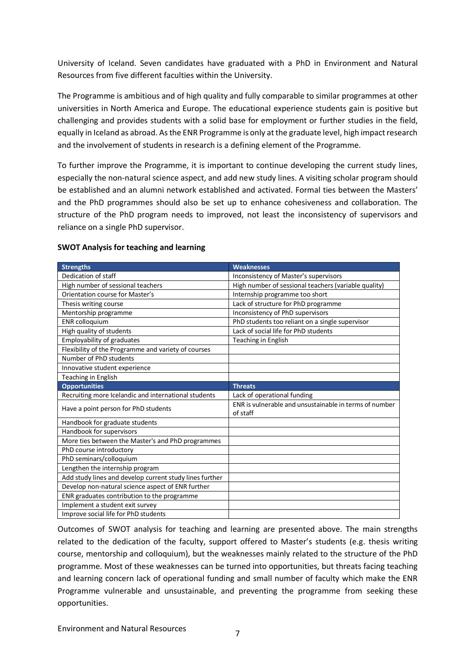University of Iceland. Seven candidates have graduated with a PhD in Environment and Natural Resources from five different faculties within the University.

The Programme is ambitious and of high quality and fully comparable to similar programmes at other universities in North America and Europe. The educational experience students gain is positive but challenging and provides students with a solid base for employment or further studies in the field, equally in Iceland as abroad. As the ENR Programme is only at the graduate level, high impact research and the involvement of students in research is a defining element of the Programme.

To further improve the Programme, it is important to continue developing the current study lines, especially the non-natural science aspect, and add new study lines. A visiting scholar program should be established and an alumni network established and activated. Formal ties between the Masters' and the PhD programmes should also be set up to enhance cohesiveness and collaboration. The structure of the PhD program needs to improved, not least the inconsistency of supervisors and reliance on a single PhD supervisor.

| <b>Strengths</b>                                        | <b>Weaknesses</b>                                                  |
|---------------------------------------------------------|--------------------------------------------------------------------|
| Dedication of staff                                     | Inconsistency of Master's supervisors                              |
| High number of sessional teachers                       | High number of sessional teachers (variable quality)               |
| <b>Orientation course for Master's</b>                  | Internship programme too short                                     |
| Thesis writing course                                   | Lack of structure for PhD programme                                |
| Mentorship programme                                    | Inconsistency of PhD supervisors                                   |
| <b>ENR</b> colloquium                                   | PhD students too reliant on a single supervisor                    |
| High quality of students                                | Lack of social life for PhD students                               |
| <b>Employability of graduates</b>                       | Teaching in English                                                |
| Flexibility of the Programme and variety of courses     |                                                                    |
| Number of PhD students                                  |                                                                    |
| Innovative student experience                           |                                                                    |
| Teaching in English                                     |                                                                    |
| <b>Opportunities</b>                                    | <b>Threats</b>                                                     |
| Recruiting more Icelandic and international students    | Lack of operational funding                                        |
| Have a point person for PhD students                    | ENR is vulnerable and unsustainable in terms of number<br>of staff |
| Handbook for graduate students                          |                                                                    |
| Handbook for supervisors                                |                                                                    |
| More ties between the Master's and PhD programmes       |                                                                    |
| PhD course introductory                                 |                                                                    |
| PhD seminars/colloquium                                 |                                                                    |
| Lengthen the internship program                         |                                                                    |
| Add study lines and develop current study lines further |                                                                    |
| Develop non-natural science aspect of ENR further       |                                                                    |
| ENR graduates contribution to the programme             |                                                                    |
| Implement a student exit survey                         |                                                                    |
| Improve social life for PhD students                    |                                                                    |

#### **SWOT Analysis for teaching and learning**

Outcomes of SWOT analysis for teaching and learning are presented above. The main strengths related to the dedication of the faculty, support offered to Master's students (e.g. thesis writing course, mentorship and colloquium), but the weaknesses mainly related to the structure of the PhD programme. Most of these weaknesses can be turned into opportunities, but threats facing teaching and learning concern lack of operational funding and small number of faculty which make the ENR Programme vulnerable and unsustainable, and preventing the programme from seeking these opportunities.

Environment and Natural Resources <sup>7</sup>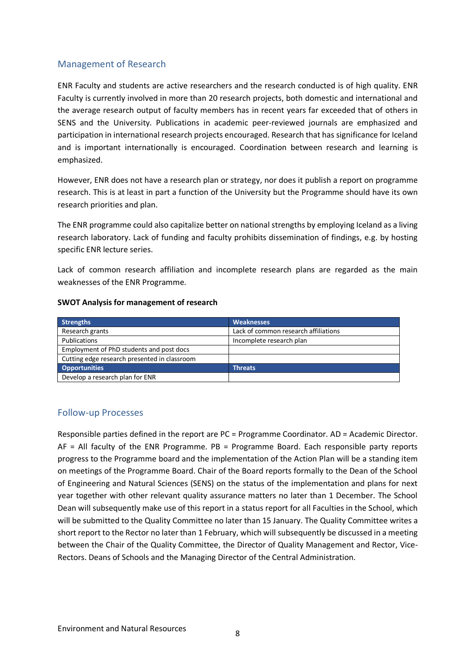#### Management of Research

ENR Faculty and students are active researchers and the research conducted is of high quality. ENR Faculty is currently involved in more than 20 research projects, both domestic and international and the average research output of faculty members has in recent years far exceeded that of others in SENS and the University. Publications in academic peer-reviewed journals are emphasized and participation in international research projects encouraged. Research that has significance for Iceland and is important internationally is encouraged. Coordination between research and learning is emphasized.

However, ENR does not have a research plan or strategy, nor does it publish a report on programme research. This is at least in part a function of the University but the Programme should have its own research priorities and plan.

The ENR programme could also capitalize better on national strengths by employing Iceland as a living research laboratory. Lack of funding and faculty prohibits dissemination of findings, e.g. by hosting specific ENR lecture series.

Lack of common research affiliation and incomplete research plans are regarded as the main weaknesses of the ENR Programme.

| <b>Strengths</b>                             | <b>Weaknesses</b>                    |
|----------------------------------------------|--------------------------------------|
| Research grants                              | Lack of common research affiliations |
| Publications                                 | Incomplete research plan             |
| Employment of PhD students and post docs     |                                      |
| Cutting edge research presented in classroom |                                      |
| <b>Opportunities</b>                         | <b>Threats</b>                       |
| Develop a research plan for ENR              |                                      |

#### **SWOT Analysis for management of research**

#### Follow-up Processes

Responsible parties defined in the report are PC = Programme Coordinator. AD = Academic Director. AF = All faculty of the ENR Programme. PB = Programme Board. Each responsible party reports progress to the Programme board and the implementation of the Action Plan will be a standing item on meetings of the Programme Board. Chair of the Board reports formally to the Dean of the School of Engineering and Natural Sciences (SENS) on the status of the implementation and plans for next year together with other relevant quality assurance matters no later than 1 December. The School Dean will subsequently make use of this report in a status report for all Faculties in the School, which will be submitted to the Quality Committee no later than 15 January. The Quality Committee writes a short report to the Rector no later than 1 February, which will subsequently be discussed in a meeting between the Chair of the Quality Committee, the Director of Quality Management and Rector, Vice-Rectors. Deans of Schools and the Managing Director of the Central Administration.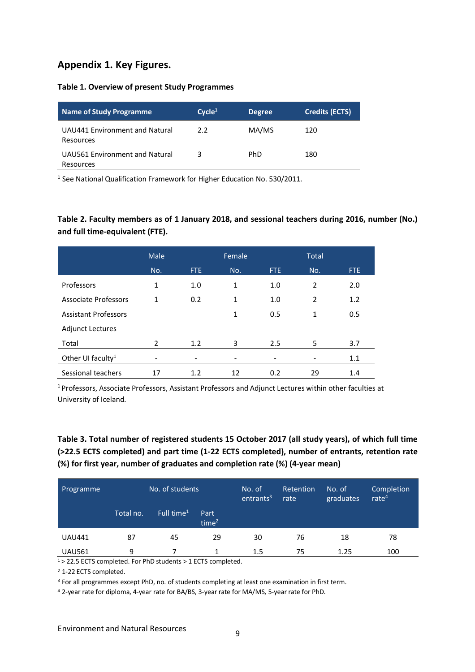#### **Appendix 1. Key Figures.**

#### **Table 1. Overview of present Study Programmes**

| Name of Study Programme                     | Cycle <sup>1</sup> | <b>Degree</b> | <b>Credits (ECTS)</b> |
|---------------------------------------------|--------------------|---------------|-----------------------|
| UAU441 Environment and Natural<br>Resources | 2.2                | MA/MS         | 120                   |
| UAU561 Environment and Natural<br>Resources | 3                  | <b>PhD</b>    | 180                   |

<sup>1</sup> See National Qualification Framework for Higher Education No. 530/2011.

#### **Table 2. Faculty members as of 1 January 2018, and sessional teachers during 2016, number (No.) and full time-equivalent (FTE).**

|                               | Male                     |      | Female |      | <b>Total</b>   |      |
|-------------------------------|--------------------------|------|--------|------|----------------|------|
|                               | No.                      | FTE. | No.    | FTE. | No.            | FTE. |
| Professors                    | 1                        | 1.0  | 1      | 1.0  | $\overline{2}$ | 2.0  |
| <b>Associate Professors</b>   | 1                        | 0.2  | 1      | 1.0  | 2              | 1.2  |
| <b>Assistant Professors</b>   |                          |      | 1      | 0.5  | 1              | 0.5  |
| <b>Adjunct Lectures</b>       |                          |      |        |      |                |      |
| Total                         | $\mathcal{P}$            | 1.2  | 3      | 2.5  | 5              | 3.7  |
| Other UI faculty <sup>1</sup> | $\overline{\phantom{a}}$ |      |        |      |                | 1.1  |
| Sessional teachers            | 17                       | 1.2  | 12     | 0.2  | 29             | 1.4  |

1 Professors, Associate Professors, Assistant Professors and Adjunct Lectures within other faculties at University of Iceland.

#### **Table 3. Total number of registered students 15 October 2017 (all study years), of which full time (>22.5 ECTS completed) and part time (1-22 ECTS completed), number of entrants, retention rate (%) for first year, number of graduates and completion rate (%) (4-year mean)**

| Programme     | No. of students' |                        | No. of<br>entrants <sup>3</sup> | <b>Retention</b><br>rate | No. of<br>graduates | Completion<br>rate $4$ |     |
|---------------|------------------|------------------------|---------------------------------|--------------------------|---------------------|------------------------|-----|
|               | Total no.        | Full time <sup>1</sup> | Part<br>time <sup>2</sup>       |                          |                     |                        |     |
| <b>UAU441</b> | 87               | 45                     | 29                              | 30                       | 76                  | 18                     | 78  |
| <b>UAU561</b> | 9                |                        |                                 | 1.5                      | 75                  | 1.25                   | 100 |

 $1$  > 22.5 ECTS completed. For PhD students > 1 ECTS completed.

<sup>2</sup> 1-22 ECTS completed.

<sup>3</sup> For all programmes except PhD, no. of students completing at least one examination in first term.

<sup>4</sup> 2-year rate for diploma, 4-year rate for BA/BS, 3-year rate for MA/MS, 5-year rate for PhD.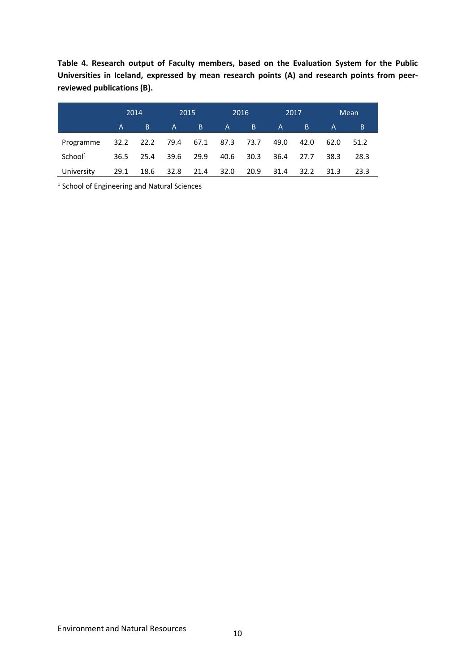**Table 4. Research output of Faculty members, based on the Evaluation System for the Public Universities in Iceland, expressed by mean research points (A) and research points from peerreviewed publications (B).**

|                     |      | 2014 | 2015         |      |      | 2016 | 2017         |      |              | Mean |
|---------------------|------|------|--------------|------|------|------|--------------|------|--------------|------|
|                     | A    | -B   | $\mathsf{A}$ | B    | A    | B.   | $\mathsf{A}$ | B.   | $\mathsf{A}$ | B    |
| Programme           | 32.2 | 22.2 | 79.4         | 67.1 | 87.3 | 73.7 | 49.0         | 42.0 | 62.0         | 51.2 |
| School <sup>1</sup> | 36.5 | 25.4 | 39.6         | 29.9 | 40.6 | 30.3 | 36.4         | 27.7 | 38.3         | 28.3 |
| University          | 29.1 | 18.6 | 32.8         | 21.4 | 32.0 | 20.9 | 31.4         | 32.2 | 31.3         | 23.3 |

<sup>1</sup> School of Engineering and Natural Sciences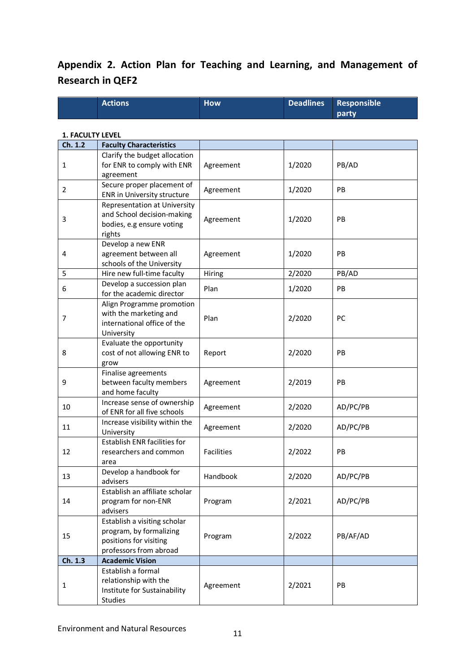### **Appendix 2. Action Plan for Teaching and Learning, and Management of Research in QEF2**

|                         | <b>Actions</b>                                                                                              | <b>How</b>        | <b>Deadlines</b> | <b>Responsible</b><br>party |
|-------------------------|-------------------------------------------------------------------------------------------------------------|-------------------|------------------|-----------------------------|
| <b>1. FACULTY LEVEL</b> |                                                                                                             |                   |                  |                             |
| Ch. 1.2                 | <b>Faculty Characteristics</b>                                                                              |                   |                  |                             |
| 1                       | Clarify the budget allocation<br>for ENR to comply with ENR<br>agreement                                    | Agreement         | 1/2020           | PB/AD                       |
| 2                       | Secure proper placement of<br>ENR in University structure                                                   | Agreement         | 1/2020           | PB                          |
| 3                       | <b>Representation at University</b><br>and School decision-making<br>bodies, e.g ensure voting<br>rights    | Agreement         | 1/2020           | PB                          |
| 4                       | Develop a new ENR<br>agreement between all<br>schools of the University                                     | Agreement         | 1/2020           | PB                          |
| 5                       | Hire new full-time faculty                                                                                  | Hiring            | 2/2020           | PB/AD                       |
| 6                       | Develop a succession plan<br>for the academic director                                                      | Plan              | 1/2020           | PB                          |
| 7                       | Align Programme promotion<br>with the marketing and<br>international office of the<br>University            | Plan              | 2/2020           | PC                          |
| 8                       | Evaluate the opportunity<br>cost of not allowing ENR to<br>grow                                             | Report            | 2/2020           | PB                          |
| 9                       | Finalise agreements<br>between faculty members<br>and home faculty                                          | Agreement         | 2/2019           | PB                          |
| 10                      | Increase sense of ownership<br>of ENR for all five schools                                                  | Agreement         | 2/2020           | AD/PC/PB                    |
| 11                      | Increase visibility within the<br>University                                                                | Agreement         | 2/2020           | AD/PC/PB                    |
| 12                      | <b>Establish ENR facilities for</b><br>researchers and common<br>area                                       | <b>Facilities</b> | 2/2022           | PB                          |
| 13                      | Develop a handbook for<br>advisers                                                                          | Handbook          | 2/2020           | AD/PC/PB                    |
| 14                      | Establish an affiliate scholar<br>program for non-ENR<br>advisers                                           | Program           | 2/2021           | AD/PC/PB                    |
| 15                      | Establish a visiting scholar<br>program, by formalizing<br>positions for visiting<br>professors from abroad | Program           | 2/2022           | PB/AF/AD                    |
| Ch. 1.3                 | <b>Academic Vision</b>                                                                                      |                   |                  |                             |
| 1                       | Establish a formal<br>relationship with the<br>Institute for Sustainability<br><b>Studies</b>               | Agreement         | 2/2021           | PB                          |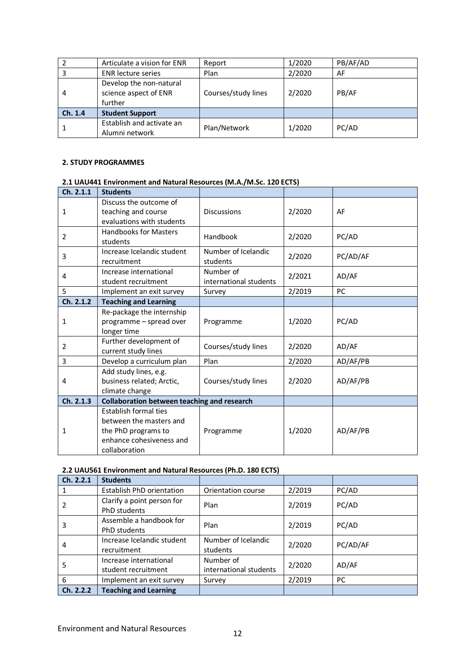|         | Articulate a vision for ENR                                 | Report              | 1/2020 | PB/AF/AD |
|---------|-------------------------------------------------------------|---------------------|--------|----------|
|         | <b>ENR</b> lecture series                                   | Plan                | 2/2020 | AF       |
| 4       | Develop the non-natural<br>science aspect of ENR<br>further | Courses/study lines | 2/2020 | PB/AF    |
| Ch. 1.4 | <b>Student Support</b>                                      |                     |        |          |
|         | Establish and activate an<br>Alumni network                 | Plan/Network        | 1/2020 | PC/AD    |

#### **2. STUDY PROGRAMMES**

|           | <u>UAU-11 Environment and natural hespares (m.A./ m.Je. 120 ECTJ/</u>                                                |                                     |        |           |
|-----------|----------------------------------------------------------------------------------------------------------------------|-------------------------------------|--------|-----------|
| Ch. 2.1.1 | <b>Students</b>                                                                                                      |                                     |        |           |
| 1         | Discuss the outcome of<br>teaching and course<br>evaluations with students                                           | <b>Discussions</b>                  | 2/2020 | AF        |
| 2         | <b>Handbooks for Masters</b><br>students                                                                             | Handbook                            | 2/2020 | PC/AD     |
| 3         | Increase Icelandic student<br>recruitment                                                                            | Number of Icelandic<br>students     | 2/2020 | PC/AD/AF  |
| 4         | Increase international<br>student recruitment                                                                        | Number of<br>international students | 2/2021 | AD/AF     |
| 5         | Implement an exit survey                                                                                             | Survey                              | 2/2019 | <b>PC</b> |
| Ch. 2.1.2 | <b>Teaching and Learning</b>                                                                                         |                                     |        |           |
| 1         | Re-package the internship<br>programme - spread over<br>longer time                                                  | Programme                           | 1/2020 | PC/AD     |
| 2         | Further development of<br>current study lines                                                                        | Courses/study lines                 | 2/2020 | AD/AF     |
| 3         | Develop a curriculum plan                                                                                            | Plan                                | 2/2020 | AD/AF/PB  |
| 4         | Add study lines, e.g.<br>business related; Arctic,<br>climate change                                                 | Courses/study lines                 | 2/2020 | AD/AF/PB  |
| Ch. 2.1.3 | Collaboration between teaching and research                                                                          |                                     |        |           |
| 1         | Establish formal ties<br>between the masters and<br>the PhD programs to<br>enhance cohesiveness and<br>collaboration | Programme                           | 1/2020 | AD/AF/PB  |

#### **2.1 UAU441 Environment and Natural Resources (M.A./M.Sc. 120 ECTS)**

#### **2.2 UAU561 Environment and Natural Resources (Ph.D. 180 ECTS)**

| Ch. 2.2.1 | <b>Students</b>                                   |                                     |        |          |  |
|-----------|---------------------------------------------------|-------------------------------------|--------|----------|--|
|           | Establish PhD orientation                         | Orientation course                  | 2/2019 | PC/AD    |  |
| 2         | Clarify a point person for<br><b>PhD</b> students | Plan                                | 2/2019 | PC/AD    |  |
| 3         | Assemble a handbook for<br><b>PhD</b> students    | Plan                                | 2/2019 | PC/AD    |  |
| 4         | Increase Icelandic student<br>recruitment         | Number of Icelandic<br>students     | 2/2020 | PC/AD/AF |  |
| 5         | Increase international<br>student recruitment     | Number of<br>international students | 2/2020 | AD/AF    |  |
| 6         | Implement an exit survey                          | Survey                              | 2/2019 | PC.      |  |
| Ch. 2.2.2 | <b>Teaching and Learning</b>                      |                                     |        |          |  |